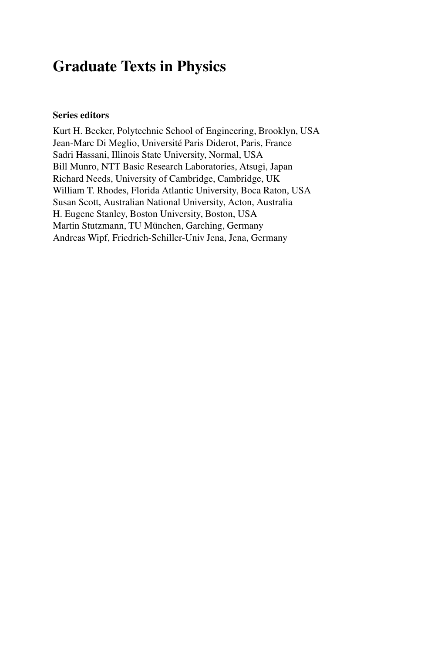# **Graduate Texts in Physics**

#### **Series editors**

Kurt H. Becker, Polytechnic School of Engineering, Brooklyn, USA Jean-Marc Di Meglio, Université Paris Diderot, Paris, France Sadri Hassani, Illinois State University, Normal, USA Bill Munro, NTT Basic Research Laboratories, Atsugi, Japan Richard Needs, University of Cambridge, Cambridge, UK William T. Rhodes, Florida Atlantic University, Boca Raton, USA Susan Scott, Australian National University, Acton, Australia H. Eugene Stanley, Boston University, Boston, USA Martin Stutzmann, TU München, Garching, Germany Andreas Wipf, Friedrich-Schiller-Univ Jena, Jena, Germany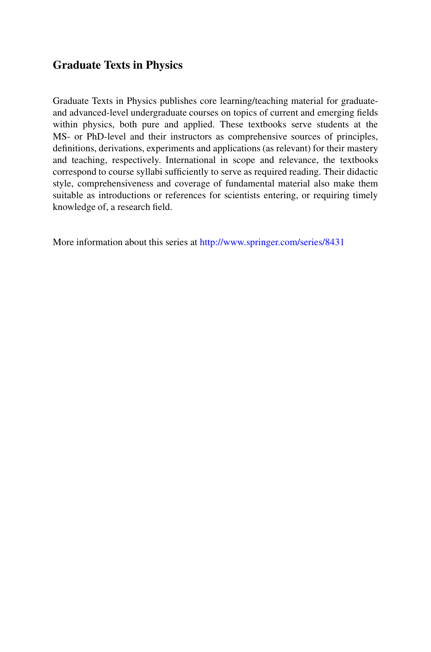### **Graduate Texts in Physics**

Graduate Texts in Physics publishes core learning/teaching material for graduateand advanced-level undergraduate courses on topics of current and emerging fields within physics, both pure and applied. These textbooks serve students at the MS- or PhD-level and their instructors as comprehensive sources of principles, definitions, derivations, experiments and applications (as relevant) for their mastery and teaching, respectively. International in scope and relevance, the textbooks correspond to course syllabi sufficiently to serve as required reading. Their didactic style, comprehensiveness and coverage of fundamental material also make them suitable as introductions or references for scientists entering, or requiring timely knowledge of, a research field.

More information about this series at <http://www.springer.com/series/8431>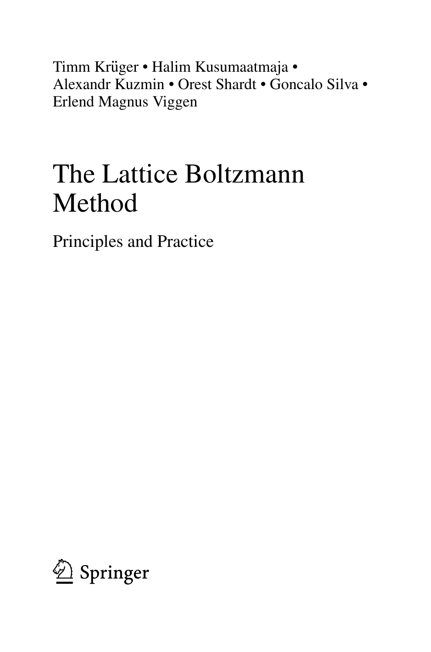Timm Krüger • Halim Kusumaatmaja • Alexandr Kuzmin • Orest Shardt • Goncalo Silva • Erlend Magnus Viggen

# The Lattice Boltzmann Method

Principles and Practice

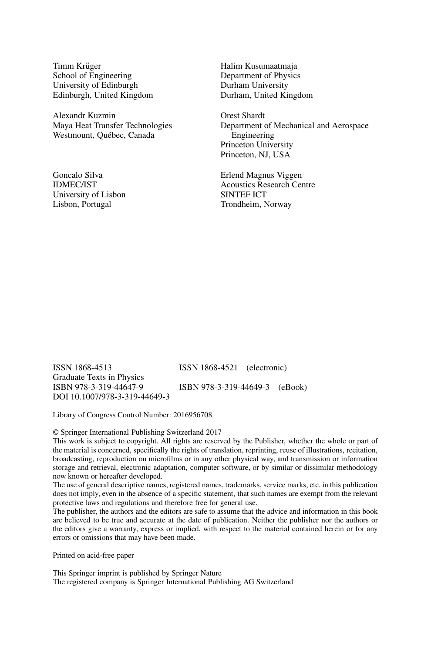Timm Krüger School of Engineering University of Edinburgh Edinburgh, United Kingdom

Alexandr Kuzmin Maya Heat Transfer Technologies Westmount, Québec, Canada

Goncalo Silva IDMEC/IST University of Lisbon Lisbon, Portugal

Halim Kusumaatmaja Department of Physics Durham University Durham, United Kingdom

Orest Shardt Department of Mechanical and Aerospace Engineering Princeton University Princeton, NJ, USA

Erlend Magnus Viggen Acoustics Research Centre SINTEF ICT Trondheim, Norway

ISSN 1868-4513 ISSN 1868-4521 (electronic) Graduate Texts in Physics DOI 10.1007/978-3-319-44649-3

ISBN 978-3-319-44647-9 ISBN 978-3-319-44649-3 (eBook)

Library of Congress Control Number: 2016956708

© Springer International Publishing Switzerland 2017

This work is subject to copyright. All rights are reserved by the Publisher, whether the whole or part of the material is concerned, specifically the rights of translation, reprinting, reuse of illustrations, recitation, broadcasting, reproduction on microfilms or in any other physical way, and transmission or information storage and retrieval, electronic adaptation, computer software, or by similar or dissimilar methodology now known or hereafter developed.

The use of general descriptive names, registered names, trademarks, service marks, etc. in this publication does not imply, even in the absence of a specific statement, that such names are exempt from the relevant protective laws and regulations and therefore free for general use.

The publisher, the authors and the editors are safe to assume that the advice and information in this book are believed to be true and accurate at the date of publication. Neither the publisher nor the authors or the editors give a warranty, express or implied, with respect to the material contained herein or for any errors or omissions that may have been made.

Printed on acid-free paper

This Springer imprint is published by Springer Nature The registered company is Springer International Publishing AG Switzerland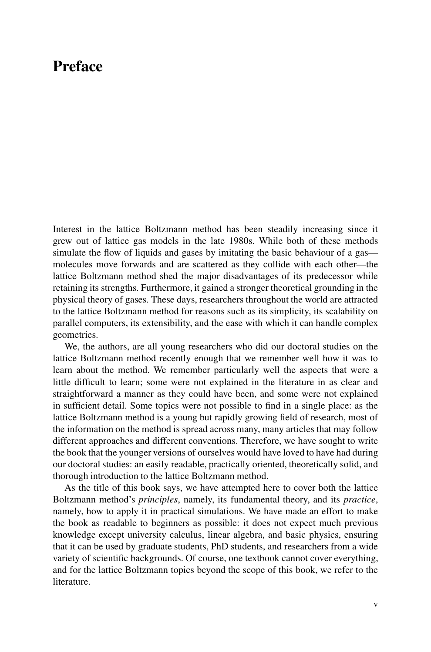# **Preface**

Interest in the lattice Boltzmann method has been steadily increasing since it grew out of lattice gas models in the late 1980s. While both of these methods simulate the flow of liquids and gases by imitating the basic behaviour of a gas molecules move forwards and are scattered as they collide with each other—the lattice Boltzmann method shed the major disadvantages of its predecessor while retaining its strengths. Furthermore, it gained a stronger theoretical grounding in the physical theory of gases. These days, researchers throughout the world are attracted to the lattice Boltzmann method for reasons such as its simplicity, its scalability on parallel computers, its extensibility, and the ease with which it can handle complex geometries.

We, the authors, are all young researchers who did our doctoral studies on the lattice Boltzmann method recently enough that we remember well how it was to learn about the method. We remember particularly well the aspects that were a little difficult to learn; some were not explained in the literature in as clear and straightforward a manner as they could have been, and some were not explained in sufficient detail. Some topics were not possible to find in a single place: as the lattice Boltzmann method is a young but rapidly growing field of research, most of the information on the method is spread across many, many articles that may follow different approaches and different conventions. Therefore, we have sought to write the book that the younger versions of ourselves would have loved to have had during our doctoral studies: an easily readable, practically oriented, theoretically solid, and thorough introduction to the lattice Boltzmann method.

As the title of this book says, we have attempted here to cover both the lattice Boltzmann method's *principles*, namely, its fundamental theory, and its *practice*, namely, how to apply it in practical simulations. We have made an effort to make the book as readable to beginners as possible: it does not expect much previous knowledge except university calculus, linear algebra, and basic physics, ensuring that it can be used by graduate students, PhD students, and researchers from a wide variety of scientific backgrounds. Of course, one textbook cannot cover everything, and for the lattice Boltzmann topics beyond the scope of this book, we refer to the literature.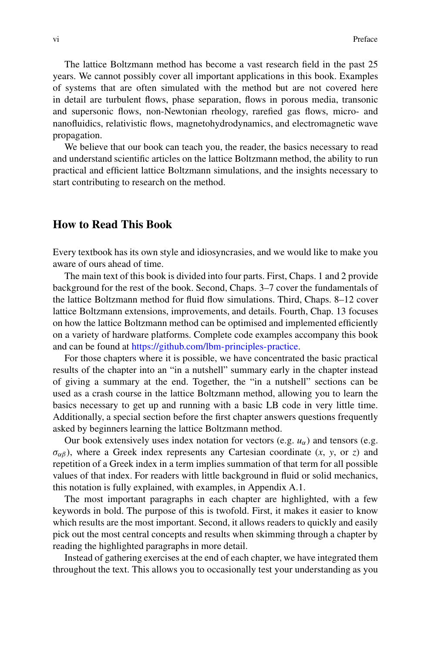The lattice Boltzmann method has become a vast research field in the past 25 years. We cannot possibly cover all important applications in this book. Examples of systems that are often simulated with the method but are not covered here in detail are turbulent flows, phase separation, flows in porous media, transonic and supersonic flows, non-Newtonian rheology, rarefied gas flows, micro- and nanofluidics, relativistic flows, magnetohydrodynamics, and electromagnetic wave propagation.

We believe that our book can teach you, the reader, the basics necessary to read and understand scientific articles on the lattice Boltzmann method, the ability to run practical and efficient lattice Boltzmann simulations, and the insights necessary to start contributing to research on the method.

#### **How to Read This Book**

Every textbook has its own style and idiosyncrasies, and we would like to make you aware of ours ahead of time.

The main text of this book is divided into four parts. First, Chaps. 1 and 2 provide background for the rest of the book. Second, Chaps. 3–7 cover the fundamentals of the lattice Boltzmann method for fluid flow simulations. Third, Chaps. 8–12 cover lattice Boltzmann extensions, improvements, and details. Fourth, Chap. 13 focuses on how the lattice Boltzmann method can be optimised and implemented efficiently on a variety of hardware platforms. Complete code examples accompany this book and can be found at [https://github.com/lbm-principles-practice.](https://github.com/lbm-principles-practice)

For those chapters where it is possible, we have concentrated the basic practical results of the chapter into an "in a nutshell" summary early in the chapter instead of giving a summary at the end. Together, the "in a nutshell" sections can be used as a crash course in the lattice Boltzmann method, allowing you to learn the basics necessary to get up and running with a basic LB code in very little time. Additionally, a special section before the first chapter answers questions frequently asked by beginners learning the lattice Boltzmann method.

Our book extensively uses index notation for vectors (e.g.  $u_{\alpha}$ ) and tensors (e.g.  $\sigma_{\alpha\beta}$ ), where a Greek index represents any Cartesian coordinate  $(x, y, \text{ or } z)$  and repetition of a Greek index in a term implies summation of that term for all possible values of that index. For readers with little background in fluid or solid mechanics, this notation is fully explained, with examples, in Appendix A.1.

The most important paragraphs in each chapter are highlighted, with a few keywords in bold. The purpose of this is twofold. First, it makes it easier to know which results are the most important. Second, it allows readers to quickly and easily pick out the most central concepts and results when skimming through a chapter by reading the highlighted paragraphs in more detail.

Instead of gathering exercises at the end of each chapter, we have integrated them throughout the text. This allows you to occasionally test your understanding as you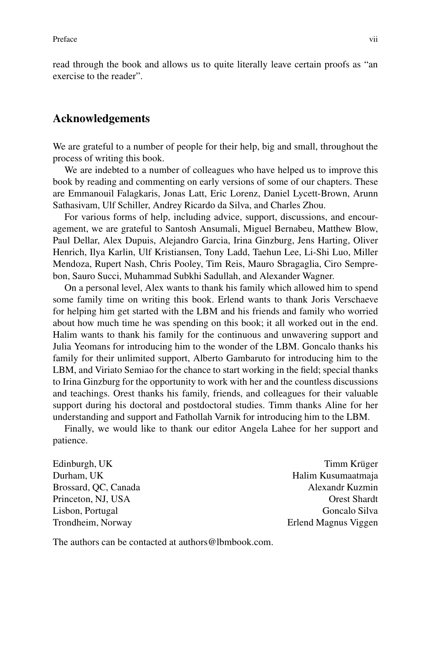read through the book and allows us to quite literally leave certain proofs as "an exercise to the reader".

#### **Acknowledgements**

We are grateful to a number of people for their help, big and small, throughout the process of writing this book.

We are indebted to a number of colleagues who have helped us to improve this book by reading and commenting on early versions of some of our chapters. These are Emmanouil Falagkaris, Jonas Latt, Eric Lorenz, Daniel Lycett-Brown, Arunn Sathasivam, Ulf Schiller, Andrey Ricardo da Silva, and Charles Zhou.

For various forms of help, including advice, support, discussions, and encouragement, we are grateful to Santosh Ansumali, Miguel Bernabeu, Matthew Blow, Paul Dellar, Alex Dupuis, Alejandro Garcia, Irina Ginzburg, Jens Harting, Oliver Henrich, Ilya Karlin, Ulf Kristiansen, Tony Ladd, Taehun Lee, Li-Shi Luo, Miller Mendoza, Rupert Nash, Chris Pooley, Tim Reis, Mauro Sbragaglia, Ciro Semprebon, Sauro Succi, Muhammad Subkhi Sadullah, and Alexander Wagner.

On a personal level, Alex wants to thank his family which allowed him to spend some family time on writing this book. Erlend wants to thank Joris Verschaeve for helping him get started with the LBM and his friends and family who worried about how much time he was spending on this book; it all worked out in the end. Halim wants to thank his family for the continuous and unwavering support and Julia Yeomans for introducing him to the wonder of the LBM. Goncalo thanks his family for their unlimited support, Alberto Gambaruto for introducing him to the LBM, and Viriato Semiao for the chance to start working in the field; special thanks to Irina Ginzburg for the opportunity to work with her and the countless discussions and teachings. Orest thanks his family, friends, and colleagues for their valuable support during his doctoral and postdoctoral studies. Timm thanks Aline for her understanding and support and Fathollah Varnik for introducing him to the LBM.

Finally, we would like to thank our editor Angela Lahee for her support and patience.

Edinburgh, UK Timm Krüger Durham, UK Halim Kusumaatmaja Brossard, QC, Canada Alexandr Kuzmin Princeton, NJ, USA Orest Shardt Lisbon, Portugal Goncalo Silva Trondheim, Norway Erlend Magnus Viggen

The authors can be contacted at authors@lbmbook.com.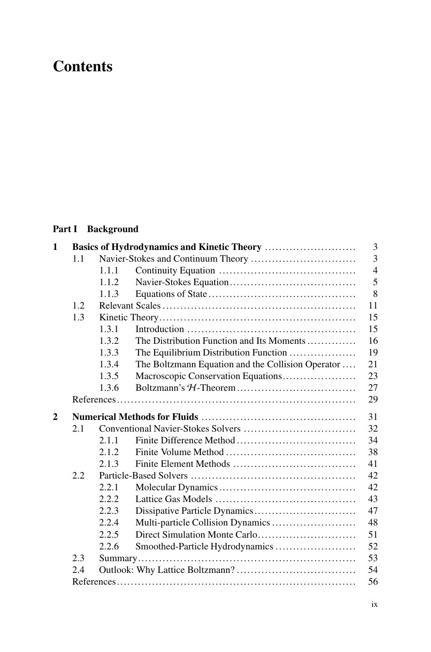# **Contents**

#### **Part I Background**

| 1            |     |       |                                                   | 3              |  |
|--------------|-----|-------|---------------------------------------------------|----------------|--|
|              | 1.1 |       |                                                   | 3              |  |
|              |     | 1.1.1 |                                                   | $\overline{4}$ |  |
|              |     | 1.1.2 |                                                   | 5              |  |
|              |     | 1.1.3 |                                                   | 8              |  |
|              | 1.2 |       |                                                   | 11             |  |
|              | 1.3 |       |                                                   | 15             |  |
|              |     | 1.3.1 |                                                   | 15             |  |
|              |     | 1.3.2 | The Distribution Function and Its Moments         | 16             |  |
|              |     | 1.3.3 | The Equilibrium Distribution Function             | 19             |  |
|              |     | 1.3.4 | The Boltzmann Equation and the Collision Operator | 21             |  |
|              |     | 1.3.5 | Macroscopic Conservation Equations                | 23             |  |
|              |     | 1.3.6 |                                                   | 27             |  |
|              |     |       |                                                   | 29             |  |
| $\mathbf{2}$ |     |       |                                                   |                |  |
|              | 2.1 |       |                                                   | 32             |  |
|              |     | 2.1.1 |                                                   | 34             |  |
|              |     | 2.1.2 |                                                   | 38             |  |
|              |     | 2.1.3 |                                                   | 41             |  |
|              | 2.2 |       |                                                   | 42             |  |
|              |     | 2.2.1 |                                                   | 42             |  |
|              |     | 2.2.2 |                                                   | 43             |  |
|              |     | 2.2.3 |                                                   | 47             |  |
|              |     | 2.2.4 | Multi-particle Collision Dynamics                 | 48             |  |
|              |     | 2.2.5 |                                                   | 51             |  |
|              |     | 2.2.6 | Smoothed-Particle Hydrodynamics                   | 52             |  |
|              | 2.3 |       |                                                   | 53             |  |
|              | 2.4 |       |                                                   | 54             |  |
|              |     |       |                                                   | 56             |  |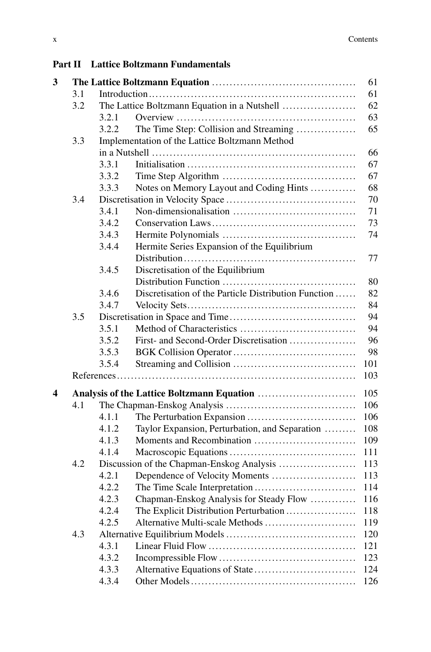| Part II |     |       | <b>Lattice Boltzmann Fundamentals</b>                |     |
|---------|-----|-------|------------------------------------------------------|-----|
| 3       |     |       |                                                      | 61  |
|         | 3.1 |       |                                                      | 61  |
|         | 3.2 |       | The Lattice Boltzmann Equation in a Nutshell         | 62  |
|         |     | 3.2.1 |                                                      | 63  |
|         |     | 3.2.2 | The Time Step: Collision and Streaming               | 65  |
|         | 3.3 |       | Implementation of the Lattice Boltzmann Method       |     |
|         |     |       |                                                      | 66  |
|         |     | 3.3.1 |                                                      | 67  |
|         |     | 3.3.2 |                                                      | 67  |
|         |     | 3.3.3 | Notes on Memory Layout and Coding Hints              | 68  |
|         | 3.4 |       |                                                      | 70  |
|         |     | 3.4.1 |                                                      | 71  |
|         |     | 3.4.2 |                                                      | 73  |
|         |     | 3.4.3 |                                                      | 74  |
|         |     | 3.4.4 | Hermite Series Expansion of the Equilibrium          |     |
|         |     |       |                                                      | 77  |
|         |     | 3.4.5 | Discretisation of the Equilibrium                    |     |
|         |     |       |                                                      | 80  |
|         |     | 3.4.6 | Discretisation of the Particle Distribution Function | 82  |
|         |     | 3.4.7 |                                                      | 84  |
|         | 3.5 |       |                                                      | 94  |
|         |     | 3.5.1 |                                                      | 94  |
|         |     | 3.5.2 | First- and Second-Order Discretisation               | 96  |
|         |     | 3.5.3 |                                                      | 98  |
|         |     | 3.5.4 |                                                      | 101 |
|         |     |       |                                                      | 103 |
| 4       |     |       |                                                      | 105 |
|         | 4.1 |       |                                                      | 106 |
|         |     | 4.1.1 |                                                      | 106 |
|         |     | 4.1.2 | Taylor Expansion, Perturbation, and Separation       | 108 |
|         |     | 4.1.3 |                                                      | 109 |
|         |     | 4.1.4 |                                                      | 111 |
|         | 4.2 |       |                                                      | 113 |
|         |     | 4.2.1 | Dependence of Velocity Moments                       | 113 |
|         |     | 4.2.2 |                                                      | 114 |
|         |     | 4.2.3 | Chapman-Enskog Analysis for Steady Flow              | 116 |
|         |     | 4.2.4 | The Explicit Distribution Perturbation               | 118 |
|         |     | 4.2.5 | Alternative Multi-scale Methods                      | 119 |
|         | 4.3 |       |                                                      | 120 |
|         |     | 4.3.1 |                                                      | 121 |
|         |     | 4.3.2 |                                                      | 123 |
|         |     | 4.3.3 |                                                      | 124 |
|         |     | 4.3.4 |                                                      | 126 |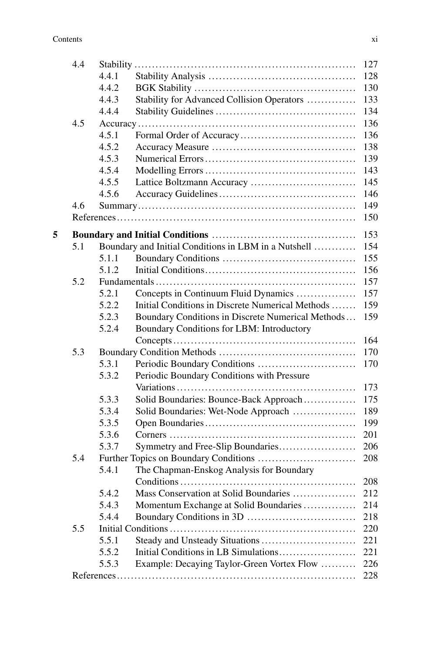#### Contents xi

|   | 4.4 |       |                                                      | 127 |
|---|-----|-------|------------------------------------------------------|-----|
|   |     | 4.4.1 |                                                      | 128 |
|   |     | 4.4.2 |                                                      | 130 |
|   |     | 4.4.3 | Stability for Advanced Collision Operators           | 133 |
|   |     | 4.4.4 |                                                      | 134 |
|   | 4.5 |       |                                                      | 136 |
|   |     | 4.5.1 |                                                      | 136 |
|   |     | 4.5.2 |                                                      | 138 |
|   |     | 4.5.3 |                                                      | 139 |
|   |     | 4.5.4 |                                                      | 143 |
|   |     | 4.5.5 |                                                      | 145 |
|   |     | 4.5.6 |                                                      | 146 |
|   | 4.6 |       |                                                      | 149 |
|   |     |       |                                                      | 150 |
|   |     |       |                                                      |     |
| 5 |     |       |                                                      | 153 |
|   | 5.1 |       | Boundary and Initial Conditions in LBM in a Nutshell | 154 |
|   |     | 5.1.1 |                                                      | 155 |
|   |     | 5.1.2 |                                                      | 156 |
|   | 5.2 |       |                                                      | 157 |
|   |     | 5.2.1 | Concepts in Continuum Fluid Dynamics                 | 157 |
|   |     | 5.2.2 | Initial Conditions in Discrete Numerical Methods     | 159 |
|   |     | 5.2.3 | Boundary Conditions in Discrete Numerical Methods    | 159 |
|   |     | 5.2.4 | Boundary Conditions for LBM: Introductory            |     |
|   |     |       |                                                      | 164 |
|   | 5.3 |       |                                                      | 170 |
|   |     | 5.3.1 |                                                      | 170 |
|   |     | 5.3.2 | Periodic Boundary Conditions with Pressure           |     |
|   |     |       |                                                      | 173 |
|   |     | 5.3.3 | Solid Boundaries: Bounce-Back Approach               | 175 |
|   |     | 5.3.4 | Solid Boundaries: Wet-Node Approach                  | 189 |
|   |     | 5.3.5 |                                                      | 199 |
|   |     | 5.3.6 |                                                      | 201 |
|   |     | 5.3.7 | Symmetry and Free-Slip Boundaries                    | 206 |
|   | 5.4 |       |                                                      | 208 |
|   |     | 5.4.1 | The Chapman-Enskog Analysis for Boundary             |     |
|   |     |       |                                                      | 208 |
|   |     | 5.4.2 | Mass Conservation at Solid Boundaries                | 212 |
|   |     | 5.4.3 | Momentum Exchange at Solid Boundaries                | 214 |
|   |     | 5.4.4 |                                                      | 218 |
|   |     |       |                                                      | 220 |
|   | 5.5 |       |                                                      |     |
|   |     | 5.5.1 | Steady and Unsteady Situations                       | 221 |
|   |     | 5.5.2 | Initial Conditions in LB Simulations                 | 221 |
|   |     | 5.5.3 | Example: Decaying Taylor-Green Vortex Flow           | 226 |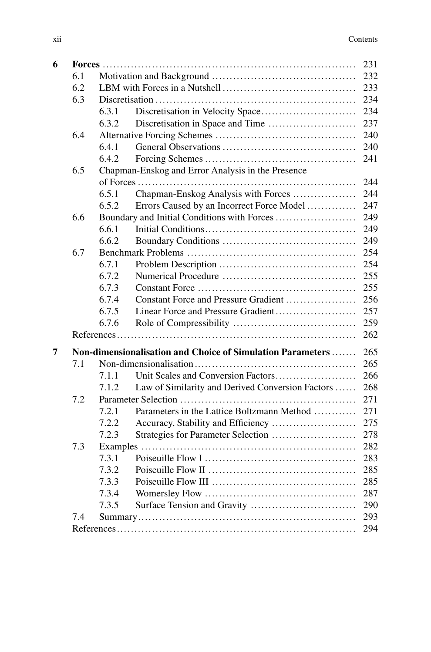| 6.1<br>6.2<br>6.3<br>6.3.1<br>6.3.2<br>6.4<br>6.4.1<br>6.4.2<br>Chapman-Enskog and Error Analysis in the Presence<br>6.5<br>6.5.1<br>6.5.2<br>6.6<br>Boundary and Initial Conditions with Forces<br>6.6.1<br>6.6.2<br>6.7<br>6.7.1<br>6.7.2<br>6.7.3<br>6.7.4<br>Constant Force and Pressure Gradient<br>6.7.5<br>Linear Force and Pressure Gradient<br>6.7.6<br>Non-dimensionalisation and Choice of Simulation Parameters<br>7<br>7.1<br>7.1.1<br>7.1.2<br>Law of Similarity and Derived Conversion Factors<br>7.2<br>7.2.1<br>7.2.2<br>7.2.3<br>Strategies for Parameter Selection<br>7.3<br>7.3.1<br>7.3.2<br>7.3.3<br>7.3.4<br>7.3.5<br>7.4 | 6 |  |                                            | 231 |
|--------------------------------------------------------------------------------------------------------------------------------------------------------------------------------------------------------------------------------------------------------------------------------------------------------------------------------------------------------------------------------------------------------------------------------------------------------------------------------------------------------------------------------------------------------------------------------------------------------------------------------------------------|---|--|--------------------------------------------|-----|
|                                                                                                                                                                                                                                                                                                                                                                                                                                                                                                                                                                                                                                                  |   |  |                                            | 232 |
|                                                                                                                                                                                                                                                                                                                                                                                                                                                                                                                                                                                                                                                  |   |  |                                            | 233 |
|                                                                                                                                                                                                                                                                                                                                                                                                                                                                                                                                                                                                                                                  |   |  |                                            | 234 |
|                                                                                                                                                                                                                                                                                                                                                                                                                                                                                                                                                                                                                                                  |   |  |                                            | 234 |
|                                                                                                                                                                                                                                                                                                                                                                                                                                                                                                                                                                                                                                                  |   |  |                                            | 237 |
|                                                                                                                                                                                                                                                                                                                                                                                                                                                                                                                                                                                                                                                  |   |  |                                            | 240 |
|                                                                                                                                                                                                                                                                                                                                                                                                                                                                                                                                                                                                                                                  |   |  |                                            | 240 |
|                                                                                                                                                                                                                                                                                                                                                                                                                                                                                                                                                                                                                                                  |   |  |                                            | 241 |
|                                                                                                                                                                                                                                                                                                                                                                                                                                                                                                                                                                                                                                                  |   |  |                                            |     |
|                                                                                                                                                                                                                                                                                                                                                                                                                                                                                                                                                                                                                                                  |   |  |                                            | 244 |
|                                                                                                                                                                                                                                                                                                                                                                                                                                                                                                                                                                                                                                                  |   |  | Chapman-Enskog Analysis with Forces        | 244 |
|                                                                                                                                                                                                                                                                                                                                                                                                                                                                                                                                                                                                                                                  |   |  | Errors Caused by an Incorrect Force Model  | 247 |
|                                                                                                                                                                                                                                                                                                                                                                                                                                                                                                                                                                                                                                                  |   |  |                                            | 249 |
|                                                                                                                                                                                                                                                                                                                                                                                                                                                                                                                                                                                                                                                  |   |  |                                            | 249 |
|                                                                                                                                                                                                                                                                                                                                                                                                                                                                                                                                                                                                                                                  |   |  |                                            | 249 |
|                                                                                                                                                                                                                                                                                                                                                                                                                                                                                                                                                                                                                                                  |   |  |                                            | 254 |
|                                                                                                                                                                                                                                                                                                                                                                                                                                                                                                                                                                                                                                                  |   |  |                                            | 254 |
|                                                                                                                                                                                                                                                                                                                                                                                                                                                                                                                                                                                                                                                  |   |  |                                            | 255 |
|                                                                                                                                                                                                                                                                                                                                                                                                                                                                                                                                                                                                                                                  |   |  |                                            | 255 |
|                                                                                                                                                                                                                                                                                                                                                                                                                                                                                                                                                                                                                                                  |   |  |                                            | 256 |
|                                                                                                                                                                                                                                                                                                                                                                                                                                                                                                                                                                                                                                                  |   |  |                                            | 257 |
|                                                                                                                                                                                                                                                                                                                                                                                                                                                                                                                                                                                                                                                  |   |  |                                            | 259 |
|                                                                                                                                                                                                                                                                                                                                                                                                                                                                                                                                                                                                                                                  |   |  |                                            | 262 |
|                                                                                                                                                                                                                                                                                                                                                                                                                                                                                                                                                                                                                                                  |   |  |                                            | 265 |
|                                                                                                                                                                                                                                                                                                                                                                                                                                                                                                                                                                                                                                                  |   |  |                                            | 265 |
|                                                                                                                                                                                                                                                                                                                                                                                                                                                                                                                                                                                                                                                  |   |  |                                            | 266 |
|                                                                                                                                                                                                                                                                                                                                                                                                                                                                                                                                                                                                                                                  |   |  |                                            | 268 |
|                                                                                                                                                                                                                                                                                                                                                                                                                                                                                                                                                                                                                                                  |   |  |                                            | 271 |
|                                                                                                                                                                                                                                                                                                                                                                                                                                                                                                                                                                                                                                                  |   |  | Parameters in the Lattice Boltzmann Method | 271 |
|                                                                                                                                                                                                                                                                                                                                                                                                                                                                                                                                                                                                                                                  |   |  |                                            | 275 |
|                                                                                                                                                                                                                                                                                                                                                                                                                                                                                                                                                                                                                                                  |   |  |                                            | 278 |
|                                                                                                                                                                                                                                                                                                                                                                                                                                                                                                                                                                                                                                                  |   |  |                                            | 282 |
|                                                                                                                                                                                                                                                                                                                                                                                                                                                                                                                                                                                                                                                  |   |  |                                            | 283 |
|                                                                                                                                                                                                                                                                                                                                                                                                                                                                                                                                                                                                                                                  |   |  |                                            | 285 |
|                                                                                                                                                                                                                                                                                                                                                                                                                                                                                                                                                                                                                                                  |   |  |                                            | 285 |
|                                                                                                                                                                                                                                                                                                                                                                                                                                                                                                                                                                                                                                                  |   |  |                                            | 287 |
|                                                                                                                                                                                                                                                                                                                                                                                                                                                                                                                                                                                                                                                  |   |  |                                            | 290 |
|                                                                                                                                                                                                                                                                                                                                                                                                                                                                                                                                                                                                                                                  |   |  |                                            | 293 |
|                                                                                                                                                                                                                                                                                                                                                                                                                                                                                                                                                                                                                                                  |   |  |                                            | 294 |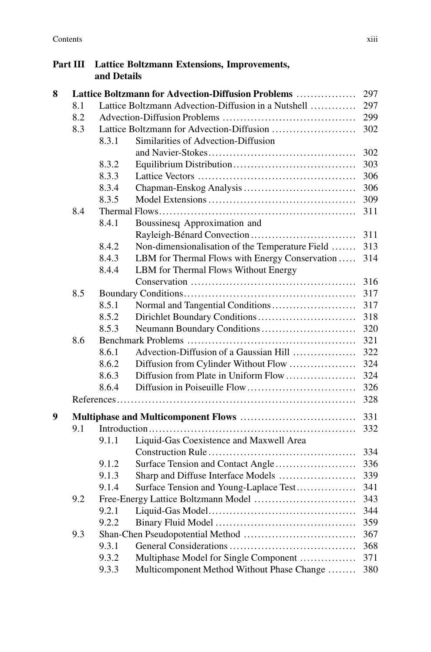| Part III |     | Lattice Boltzmann Extensions, Improvements,<br>and Details |                                                     |     |  |  |
|----------|-----|------------------------------------------------------------|-----------------------------------------------------|-----|--|--|
| 8        |     |                                                            | Lattice Boltzmann for Advection-Diffusion Problems  | 297 |  |  |
|          | 8.1 |                                                            | Lattice Boltzmann Advection-Diffusion in a Nutshell | 297 |  |  |
|          | 8.2 |                                                            |                                                     | 299 |  |  |
|          | 8.3 |                                                            |                                                     | 302 |  |  |
|          |     | 8.3.1                                                      | Similarities of Advection-Diffusion                 |     |  |  |
|          |     |                                                            |                                                     | 302 |  |  |
|          |     | 8.3.2                                                      |                                                     | 303 |  |  |
|          |     | 8.3.3                                                      |                                                     | 306 |  |  |
|          |     | 8.3.4                                                      |                                                     | 306 |  |  |
|          |     | 8.3.5                                                      |                                                     | 309 |  |  |
|          | 8.4 |                                                            |                                                     | 311 |  |  |
|          |     | 8.4.1                                                      | Boussinesq Approximation and                        |     |  |  |
|          |     |                                                            |                                                     | 311 |  |  |
|          |     | 8.4.2                                                      | Non-dimensionalisation of the Temperature Field     | 313 |  |  |
|          |     | 8.4.3                                                      | LBM for Thermal Flows with Energy Conservation      | 314 |  |  |
|          |     | 8.4.4                                                      | LBM for Thermal Flows Without Energy                |     |  |  |
|          |     |                                                            |                                                     | 316 |  |  |
|          | 8.5 |                                                            |                                                     | 317 |  |  |
|          |     | 8.5.1                                                      |                                                     | 317 |  |  |
|          |     | 8.5.2                                                      |                                                     | 318 |  |  |
|          |     | 8.5.3                                                      | Neumann Boundary Conditions                         | 320 |  |  |
|          | 8.6 |                                                            |                                                     | 321 |  |  |
|          |     | 8.6.1                                                      | Advection-Diffusion of a Gaussian Hill              | 322 |  |  |
|          |     | 8.6.2                                                      | Diffusion from Cylinder Without Flow                | 324 |  |  |
|          |     | 8.6.3                                                      | Diffusion from Plate in Uniform Flow                | 324 |  |  |
|          |     | 8.6.4                                                      |                                                     | 326 |  |  |
|          |     |                                                            |                                                     | 328 |  |  |
| 9        |     |                                                            |                                                     | 331 |  |  |
|          | 9.1 |                                                            |                                                     | 332 |  |  |
|          |     | 9.1.1                                                      | Liquid-Gas Coexistence and Maxwell Area             |     |  |  |
|          |     |                                                            |                                                     | 334 |  |  |
|          |     | 9.1.2                                                      |                                                     | 336 |  |  |
|          |     | 9.1.3                                                      |                                                     | 339 |  |  |
|          |     | 9.1.4                                                      | Surface Tension and Young-Laplace Test              | 341 |  |  |
|          | 9.2 |                                                            |                                                     | 343 |  |  |
|          |     | 9.2.1                                                      |                                                     | 344 |  |  |
|          |     | 9.2.2                                                      |                                                     | 359 |  |  |
|          | 9.3 |                                                            |                                                     | 367 |  |  |
|          |     | 9.3.1                                                      |                                                     | 368 |  |  |
|          |     | 9.3.2                                                      | Multiphase Model for Single Component               | 371 |  |  |
|          |     | 9.3.3                                                      | Multicomponent Method Without Phase Change          | 380 |  |  |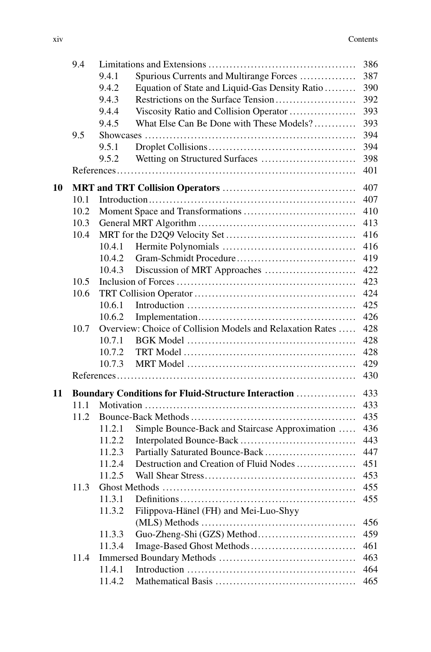|    | 9.4  |        |                                                           | 386 |
|----|------|--------|-----------------------------------------------------------|-----|
|    |      | 9.4.1  | Spurious Currents and Multirange Forces                   | 387 |
|    |      | 9.4.2  | Equation of State and Liquid-Gas Density Ratio            | 390 |
|    |      | 9.4.3  |                                                           | 392 |
|    |      | 9.4.4  | Viscosity Ratio and Collision Operator                    | 393 |
|    |      | 9.4.5  | What Else Can Be Done with These Models?                  | 393 |
|    | 9.5  |        |                                                           | 394 |
|    |      | 9.5.1  |                                                           | 394 |
|    |      | 9.5.2  |                                                           | 398 |
|    |      |        |                                                           | 401 |
| 10 |      |        |                                                           | 407 |
|    | 10.1 |        |                                                           | 407 |
|    | 10.2 |        |                                                           | 410 |
|    | 10.3 |        |                                                           | 413 |
|    | 10.4 |        |                                                           | 416 |
|    |      | 10.4.1 |                                                           | 416 |
|    |      | 10.4.2 |                                                           | 419 |
|    |      | 10.4.3 |                                                           | 422 |
|    | 10.5 |        |                                                           | 423 |
|    | 10.6 |        |                                                           | 424 |
|    |      | 10.6.1 |                                                           | 425 |
|    |      | 10.6.2 |                                                           | 426 |
|    | 10.7 |        | Overview: Choice of Collision Models and Relaxation Rates | 428 |
|    |      | 10.7.1 |                                                           | 428 |
|    |      | 10.7.2 |                                                           | 428 |
|    |      | 10.7.3 |                                                           | 429 |
|    |      |        |                                                           | 430 |
| 11 |      |        | Boundary Conditions for Fluid-Structure Interaction       | 433 |
|    | 11.1 |        |                                                           | 433 |
|    | 11.2 |        |                                                           | 435 |
|    |      | 11.2.1 | Simple Bounce-Back and Staircase Approximation            | 436 |
|    |      | 11.2.2 |                                                           | 443 |
|    |      | 11.2.3 |                                                           | 447 |
|    |      | 11.2.4 | Destruction and Creation of Fluid Nodes                   | 451 |
|    |      | 11.2.5 |                                                           | 453 |
|    | 11.3 |        |                                                           | 455 |
|    |      |        |                                                           |     |
|    |      | 11.3.2 | Filippova-Hänel (FH) and Mei-Luo-Shyy                     |     |
|    |      |        |                                                           | 456 |
|    |      | 11.3.3 | Guo-Zheng-Shi (GZS) Method                                | 459 |
|    |      | 11.3.4 |                                                           | 461 |
|    | 11.4 |        |                                                           | 463 |
|    |      | 11.4.1 |                                                           | 464 |
|    |      | 11.4.2 |                                                           | 465 |
|    |      |        |                                                           |     |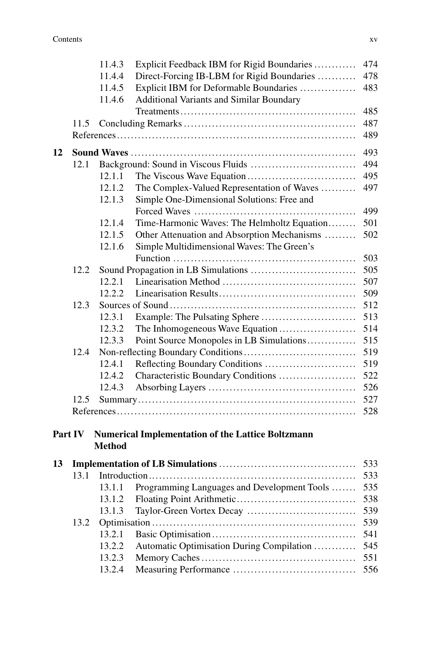#### Contents xv

|         |      | 11.4.3        | Explicit Feedback IBM for Rigid Boundaries               | 474 |
|---------|------|---------------|----------------------------------------------------------|-----|
|         |      | 11.4.4        | Direct-Forcing IB-LBM for Rigid Boundaries               | 478 |
|         |      | 11.4.5        | Explicit IBM for Deformable Boundaries                   | 483 |
|         |      | 11.4.6        | Additional Variants and Similar Boundary                 |     |
|         |      |               |                                                          | 485 |
|         | 11.5 |               |                                                          | 487 |
|         |      |               |                                                          | 489 |
| 12      |      |               |                                                          | 493 |
|         | 12.1 |               |                                                          | 494 |
|         |      | 12.1.1        |                                                          | 495 |
|         |      | 12.1.2        | The Complex-Valued Representation of Waves               | 497 |
|         |      | 12.1.3        | Simple One-Dimensional Solutions: Free and               |     |
|         |      |               |                                                          | 499 |
|         |      | 12.1.4        | Time-Harmonic Waves: The Helmholtz Equation              | 501 |
|         |      | 12.1.5        | Other Attenuation and Absorption Mechanisms              | 502 |
|         |      | 12.1.6        | Simple Multidimensional Waves: The Green's               |     |
|         |      |               |                                                          | 503 |
|         | 12.2 |               |                                                          | 505 |
|         |      | 12.2.1        |                                                          | 507 |
|         |      | 12.2.2        |                                                          | 509 |
|         | 12.3 |               |                                                          | 512 |
|         |      | 12.3.1        |                                                          | 513 |
|         |      | 12.3.2        |                                                          | 514 |
|         |      | 12.3.3        | Point Source Monopoles in LB Simulations                 | 515 |
|         | 12.4 |               |                                                          | 519 |
|         |      | 12.4.1        |                                                          | 519 |
|         |      | 12.4.2        | Characteristic Boundary Conditions                       | 522 |
|         |      | 12.4.3        |                                                          | 526 |
|         | 12.5 |               |                                                          | 527 |
|         |      |               |                                                          | 528 |
|         |      |               |                                                          |     |
| Part IV |      |               | <b>Numerical Implementation of the Lattice Boltzmann</b> |     |
|         |      | <b>Method</b> |                                                          |     |
| 13      |      |               |                                                          | 533 |
|         | 13.1 |               |                                                          | 533 |
|         |      | 13.1.1        | Programming Languages and Development Tools              | 535 |
|         |      | 13.1.2        |                                                          | 538 |
|         |      | 13.1.3        |                                                          | 539 |
|         | 13.2 |               |                                                          | 539 |
|         |      | 13.2.1        |                                                          | 541 |
|         |      | 13.2.2        | Automatic Optimisation During Compilation                | 545 |
|         |      | 13.2.3        |                                                          | 551 |
|         |      | 13.2.4        |                                                          | 556 |
|         |      |               |                                                          |     |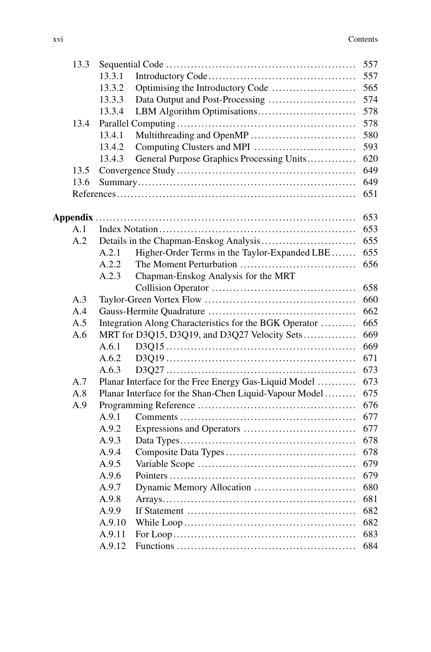| 13.3 |        |                                                        | 557 |
|------|--------|--------------------------------------------------------|-----|
|      | 13.3.1 |                                                        | 557 |
|      | 13.3.2 |                                                        | 565 |
|      | 13.3.3 |                                                        | 574 |
|      | 13.3.4 | LBM Algorithm Optimisations                            | 578 |
| 13.4 |        |                                                        | 578 |
|      | 13.4.1 |                                                        | 580 |
|      | 13.4.2 |                                                        | 593 |
|      | 13.4.3 | General Purpose Graphics Processing Units              | 620 |
| 13.5 |        |                                                        | 649 |
| 13.6 |        |                                                        | 649 |
|      |        |                                                        | 651 |
|      |        |                                                        |     |
|      |        |                                                        | 653 |
| A.1  |        |                                                        | 653 |
| A.2  |        |                                                        | 655 |
|      | A.2.1  | Higher-Order Terms in the Taylor-Expanded LBE          | 655 |
|      | A.2.2  |                                                        | 656 |
|      | A.2.3  | Chapman-Enskog Analysis for the MRT                    |     |
|      |        |                                                        | 658 |
| A.3  |        |                                                        | 660 |
| A.4  |        |                                                        | 662 |
| A.5  |        | Integration Along Characteristics for the BGK Operator | 665 |
| A.6  |        | MRT for D3Q15, D3Q19, and D3Q27 Velocity Sets          | 669 |
|      | A.6.1  |                                                        | 669 |
|      | A.6.2  |                                                        | 671 |
|      | A.6.3  |                                                        | 673 |
| A.7  |        | Planar Interface for the Free Energy Gas-Liquid Model  | 673 |
| A.8  |        | Planar Interface for the Shan-Chen Liquid-Vapour Model | 675 |
| A.9  |        |                                                        | 676 |
|      | A.9.1  |                                                        | 677 |
|      | A.9.2  |                                                        | 677 |
|      | A.9.3  |                                                        | 678 |
|      | A.9.4  |                                                        | 678 |
|      | A.9.5  |                                                        | 679 |
|      | A.9.6  |                                                        | 679 |
|      | A.9.7  |                                                        | 680 |
|      | A.9.8  |                                                        | 681 |
|      | A.9.9  |                                                        | 682 |
|      | A.9.10 |                                                        | 682 |
|      | A.9.11 |                                                        | 683 |
|      | A.9.12 |                                                        | 684 |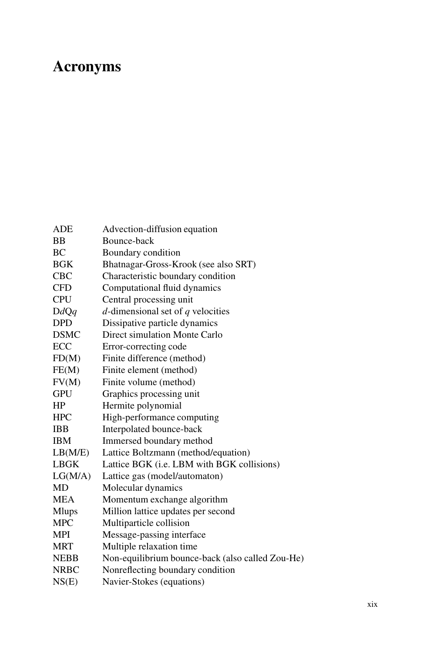# **Acronyms**

| <b>ADE</b>   | Advection-diffusion equation                     |
|--------------|--------------------------------------------------|
| <b>BB</b>    | Bounce-back                                      |
| BC           | Boundary condition                               |
| <b>BGK</b>   | Bhatnagar-Gross-Krook (see also SRT)             |
| <b>CBC</b>   | Characteristic boundary condition                |
| <b>CFD</b>   | Computational fluid dynamics                     |
| <b>CPU</b>   | Central processing unit                          |
| DdQq         | $d$ -dimensional set of $q$ velocities           |
| <b>DPD</b>   | Dissipative particle dynamics                    |
| <b>DSMC</b>  | Direct simulation Monte Carlo                    |
| ECC          | Error-correcting code                            |
| FD(M)        | Finite difference (method)                       |
| FE(M)        | Finite element (method)                          |
| FV(M)        | Finite volume (method)                           |
| <b>GPU</b>   | Graphics processing unit                         |
| HP           | Hermite polynomial                               |
| <b>HPC</b>   | High-performance computing                       |
| <b>IBB</b>   | Interpolated bounce-back                         |
| <b>IBM</b>   | Immersed boundary method                         |
| LB(M/E)      | Lattice Boltzmann (method/equation)              |
| <b>LBGK</b>  | Lattice BGK (i.e. LBM with BGK collisions)       |
| LG(M/A)      | Lattice gas (model/automaton)                    |
| MD           | Molecular dynamics                               |
| <b>MEA</b>   | Momentum exchange algorithm                      |
| <b>Mlups</b> | Million lattice updates per second               |
| <b>MPC</b>   | Multiparticle collision                          |
| <b>MPI</b>   | Message-passing interface                        |
| <b>MRT</b>   | Multiple relaxation time                         |
| <b>NEBB</b>  | Non-equilibrium bounce-back (also called Zou-He) |
| <b>NRBC</b>  | Nonreflecting boundary condition                 |
| NS(E)        | Navier-Stokes (equations)                        |
|              |                                                  |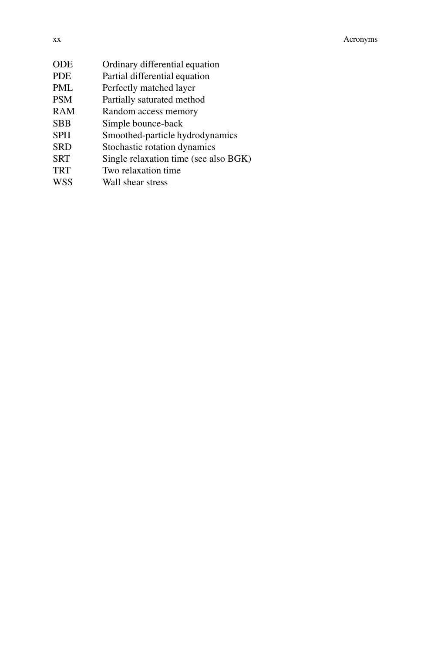| <b>ODE</b> | Ordinary differential equation        |
|------------|---------------------------------------|
| <b>PDE</b> | Partial differential equation         |
| PML        | Perfectly matched layer               |
| <b>PSM</b> | Partially saturated method            |
| RAM        | Random access memory                  |
| <b>SBB</b> | Simple bounce-back                    |
| <b>SPH</b> | Smoothed-particle hydrodynamics       |
| <b>SRD</b> | Stochastic rotation dynamics          |
| <b>SRT</b> | Single relaxation time (see also BGK) |
| TRT        | Two relaxation time                   |
| <b>WSS</b> | Wall shear stress                     |
|            |                                       |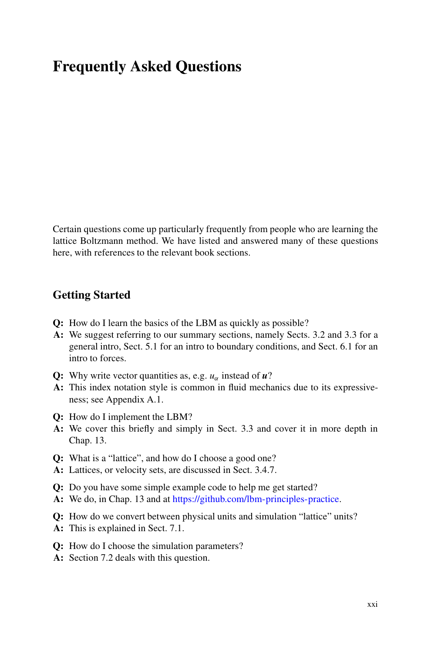# **Frequently Asked Questions**

Certain questions come up particularly frequently from people who are learning the lattice Boltzmann method. We have listed and answered many of these questions here, with references to the relevant book sections.

#### **Getting Started**

- **Q:** How do I learn the basics of the LBM as quickly as possible?
- **A:** We suggest referring to our summary sections, namely Sects. 3.2 and 3.3 for a general intro, Sect. 5.1 for an intro to boundary conditions, and Sect. 6.1 for an intro to forces.
- **Q:** Why write vector quantities as, e.g.  $u_\alpha$  instead of  $u$ ?
- **A:** This index notation style is common in fluid mechanics due to its expressiveness; see Appendix A.1.
- **Q:** How do I implement the LBM?
- **A:** We cover this briefly and simply in Sect. 3.3 and cover it in more depth in Chap. 13.
- **Q:** What is a "lattice", and how do I choose a good one?
- **A:** Lattices, or velocity sets, are discussed in Sect. 3.4.7.
- **Q:** Do you have some simple example code to help me get started?
- **A:** We do, in Chap. 13 and at [https://github.com/lbm-principles-practice.](https://github.com/lbm-principles-practice)
- **Q:** How do we convert between physical units and simulation "lattice" units?
- **A:** This is explained in Sect. 7.1.
- **Q:** How do I choose the simulation parameters?
- **A:** Section 7.2 deals with this question.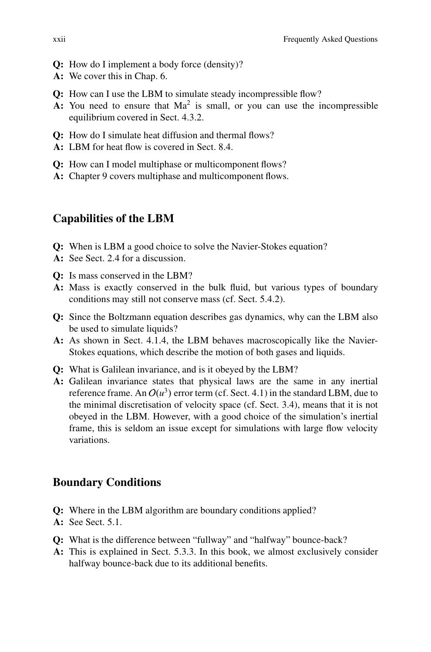- **Q:** How do I implement a body force (density)?
- **A:** We cover this in Chap. 6.
- **Q:** How can I use the LBM to simulate steady incompressible flow?
- **A:** You need to ensure that  $Ma^2$  is small, or you can use the incompressible equilibrium covered in Sect. 4.3.2.
- **Q:** How do I simulate heat diffusion and thermal flows?
- **A:** LBM for heat flow is covered in Sect. 8.4.
- **Q:** How can I model multiphase or multicomponent flows?
- **A:** Chapter 9 covers multiphase and multicomponent flows.

## **Capabilities of the LBM**

- **Q:** When is LBM a good choice to solve the Navier-Stokes equation?
- **A:** See Sect. 2.4 for a discussion.
- **Q:** Is mass conserved in the LBM?
- **A:** Mass is exactly conserved in the bulk fluid, but various types of boundary conditions may still not conserve mass (cf. Sect. 5.4.2).
- **Q:** Since the Boltzmann equation describes gas dynamics, why can the LBM also be used to simulate liquids?
- **A:** As shown in Sect. 4.1.4, the LBM behaves macroscopically like the Navier-Stokes equations, which describe the motion of both gases and liquids.
- **Q:** What is Galilean invariance, and is it obeyed by the LBM?
- **A:** Galilean invariance states that physical laws are the same in any inertial reference frame. An  $O(u^3)$  error term (cf. Sect. 4.1) in the standard LBM, due to the minimal discretisation of velocity space (cf. Sect. 3.4), means that it is not obeyed in the LBM. However, with a good choice of the simulation's inertial frame, this is seldom an issue except for simulations with large flow velocity variations.

## **Boundary Conditions**

- **Q:** Where in the LBM algorithm are boundary conditions applied?
- **A:** See Sect. 5.1.
- **Q:** What is the difference between "fullway" and "halfway" bounce-back?
- **A:** This is explained in Sect. 5.3.3. In this book, we almost exclusively consider halfway bounce-back due to its additional benefits.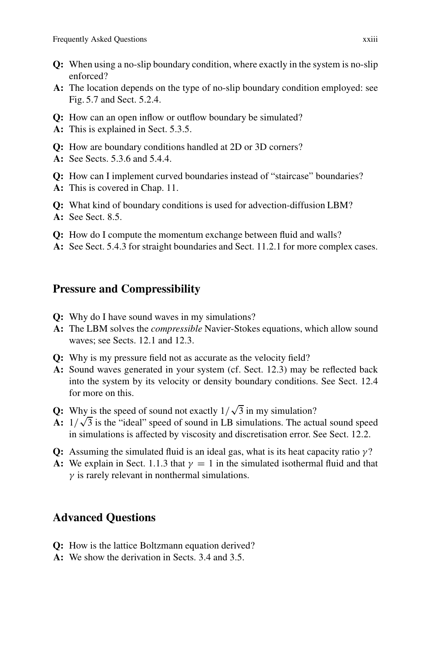- **Q:** When using a no-slip boundary condition, where exactly in the system is no-slip enforced?
- **A:** The location depends on the type of no-slip boundary condition employed: see Fig. 5.7 and Sect. 5.2.4.
- **Q:** How can an open inflow or outflow boundary be simulated?
- **A:** This is explained in Sect. 5.3.5.
- **Q:** How are boundary conditions handled at 2D or 3D corners?
- **A:** See Sects. 5.3.6 and 5.4.4.
- **Q:** How can I implement curved boundaries instead of "staircase" boundaries? **A:** This is covered in Chap. 11.
- **Q:** What kind of boundary conditions is used for advection-diffusion LBM? **A:** See Sect. 8.5.
- **Q:** How do I compute the momentum exchange between fluid and walls?
- **A:** See Sect. 5.4.3 for straight boundaries and Sect. 11.2.1 for more complex cases.

### **Pressure and Compressibility**

- **Q:** Why do I have sound waves in my simulations?
- **A:** The LBM solves the *compressible* Navier-Stokes equations, which allow sound waves; see Sects. 12.1 and 12.3.
- **Q:** Why is my pressure field not as accurate as the velocity field?
- **A:** Sound waves generated in your system (cf. Sect. 12.3) may be reflected back into the system by its velocity or density boundary conditions. See Sect. 12.4 for more on this.
- **Q:** Why is the speed of sound not exactly  $1/\sqrt{3}$  in my simulation?
- **A:**  $1/\sqrt{3}$  is the "ideal" speed of sound in LB simulations. The actual sound speed in simulations is affected by viscosity and discretisation error. See Sect. 12.2.
- **Q:** Assuming the simulated fluid is an ideal gas, what is its heat capacity ratio  $\gamma$ ?
- **A:** We explain in Sect. 1.1.3 that  $\nu = 1$  in the simulated isothermal fluid and that  $\gamma$  is rarely relevant in nonthermal simulations.

## **Advanced Questions**

- **Q:** How is the lattice Boltzmann equation derived?
- **A:** We show the derivation in Sects. 3.4 and 3.5.